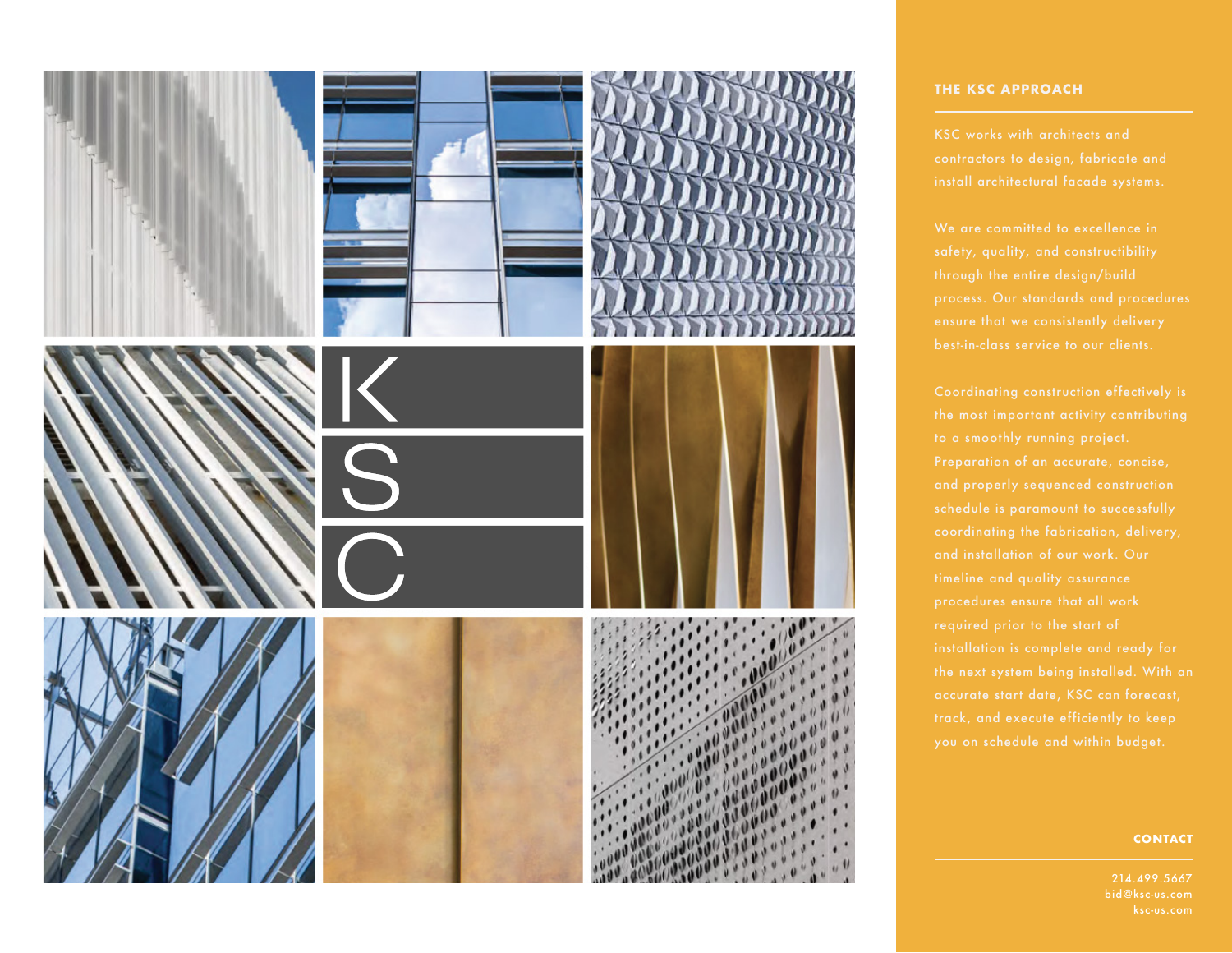

### **THE KSC APPROACH**

KSC works with architects and

We are committed to excellence in

### **CONTACT**

214.499.5667 bid@ksc-us.com ksc-us.com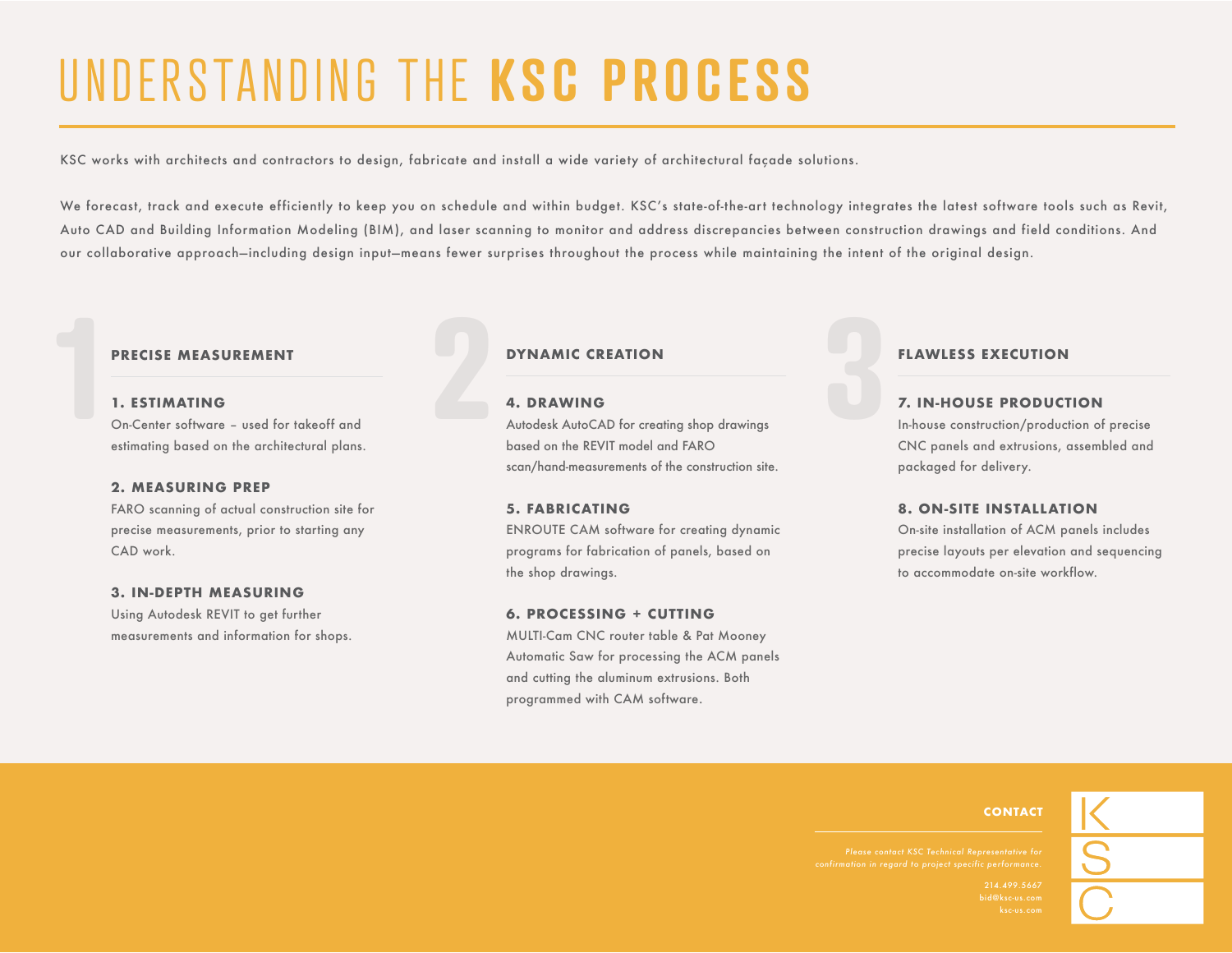# UNDERSTANDING THE **KSC PROCESS**

KSC works with architects and contractors to design, fabricate and install a wide variety of architectural façade solutions.

We forecast, track and execute efficiently to keep you on schedule and within budget. KSC's state-of-the-art technology integrates the latest software tools such as Revit, Auto CAD and Building Information Modeling (BIM), and laser scanning to monitor and address discrepancies between construction drawings and field conditions. And our collaborative approach—including design input—means fewer surprises throughout the process while maintaining the intent of the original design.

#### **1. ESTIMATING**

On-Center software – used for takeoff and estimating based on the architectural plans. **PRECISE MEASUREMENT**<br> **1. ESTIMATING**<br>
On-Center software – used for takeoff and<br> **1. Allocalsk** AutoCA<br>
Autodesk AutoCA<br> **1. Autodesk AutoCA**<br> **1. Autodesk AutoCA** 

### **2. MEASURING PREP**

FARO scanning of actual construction site for precise measurements, prior to starting any CAD work.

### **3. IN-DEPTH MEASURING**

Using Autodesk REVIT to get further measurements and information for shops.

Autodesk AutoCAD for creating shop drawings based on the REVIT model and FARO scan/hand-measurements of the construction site. **DYNAMIC CREATION<br>
<b>2. DRAWING**<br>
Autodesk AutoCAD for creating shop drawings<br>
And on the PEV!T model and EARO

#### **5. FABRICATING**

ENROUTE CAM software for creating dynamic programs for fabrication of panels, based on the shop drawings.

#### **6. PROCESSING + CUTTING**

MULTI-Cam CNC router table & Pat Mooney Automatic Saw for processing the ACM panels and cutting the aluminum extrusions. Both programmed with CAM software.

In-house construction/production of precise CNC panels and extrusions, assembled and packaged for delivery. **FLAWLESS EXECUTION<br>
31 T. IN-HOUSE PRODUCT**<br>
In-house construction/product

### **8. ON-SITE INSTALLATION**

On-site installation of ACM panels includes precise layouts per elevation and sequencing to accommodate on-site workflow.

### **CONTACT**

*confirmation in regard to project specific performance.*

214.499.5667